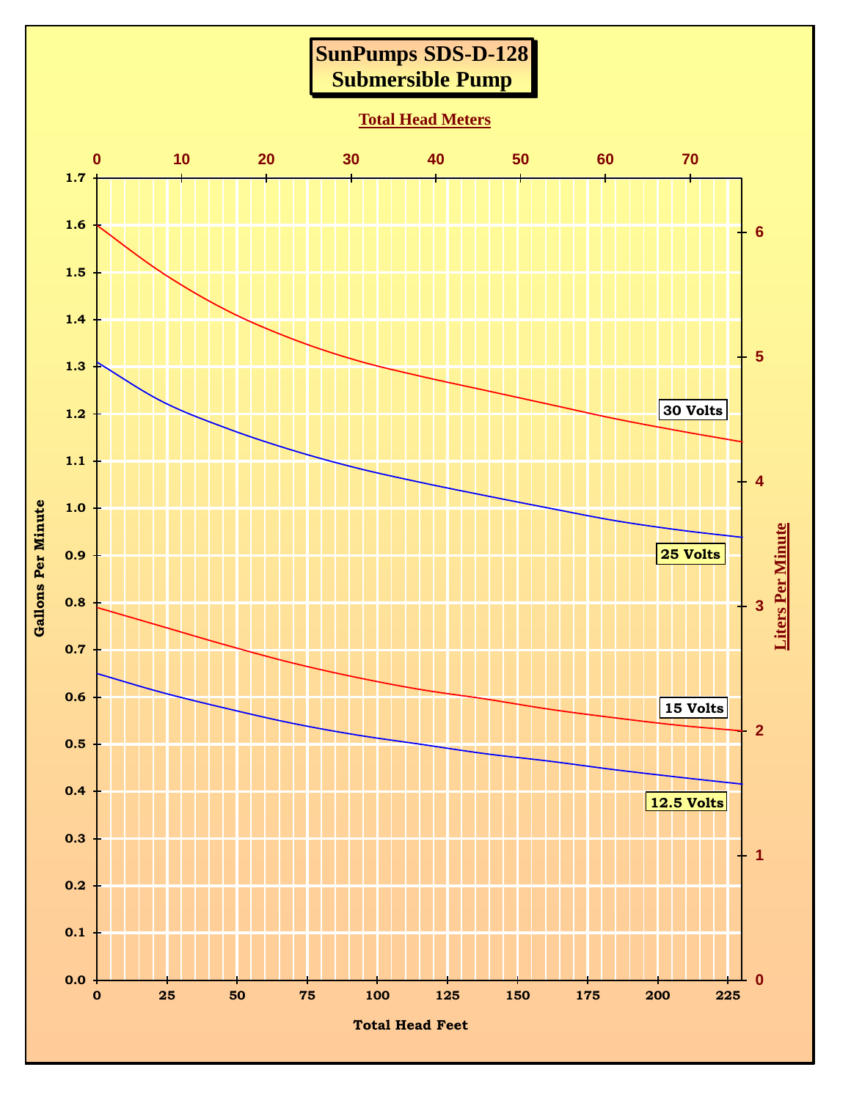